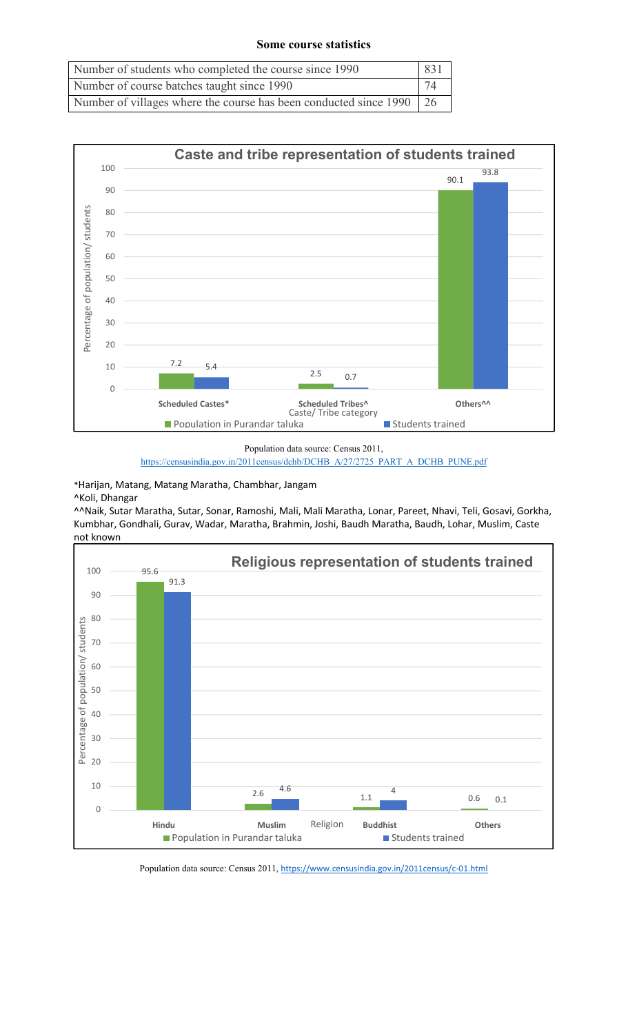## **Some course statistics**

| Number of students who completed the course since 1990               | 831 |
|----------------------------------------------------------------------|-----|
| Number of course batches taught since 1990                           | 74  |
| Number of villages where the course has been conducted since 1990 26 |     |



Population data source: Census 2011,

https://censusindia.gov.in/2011census/dchb/DCHB\_A/27/2725\_PART\_A\_DCHB\_PUNE.pdf

\*Harijan, Matang, Matang Maratha, Chambhar, Jangam

^Koli, Dhangar

^^Naik, Sutar Maratha, Sutar, Sonar, Ramoshi, Mali, Mali Maratha, Lonar, Pareet, Nhavi, Teli, Gosavi, Gorkha, Kumbhar, Gondhali, Gurav, Wadar, Maratha, Brahmin, Joshi, Baudh Maratha, Baudh, Lohar, Muslim, Caste not known



Population data source: Census 2011, https://www.censusindia.gov.in/2011census/c-01.html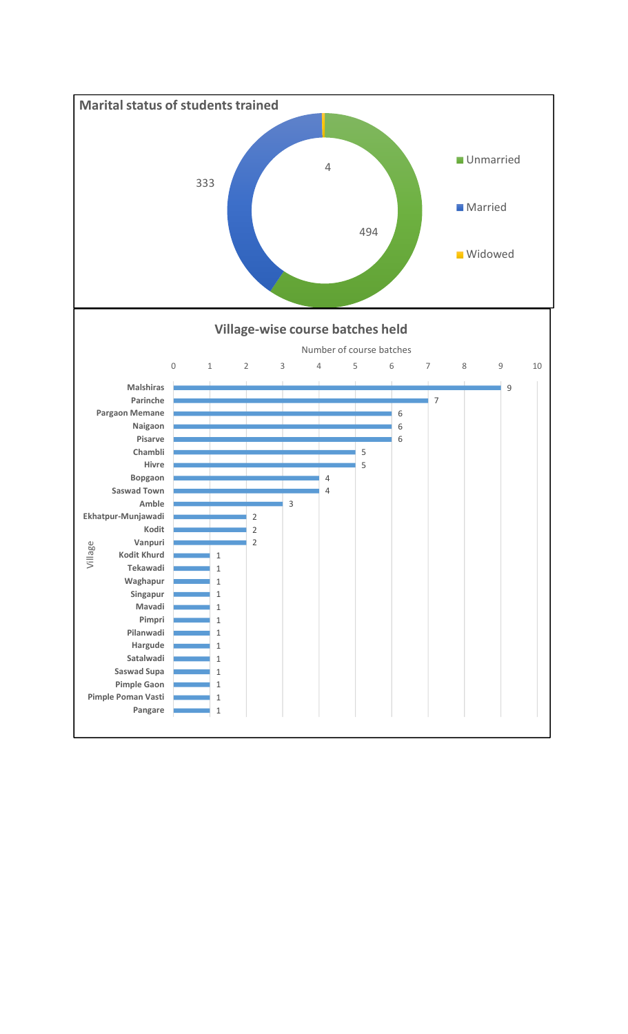